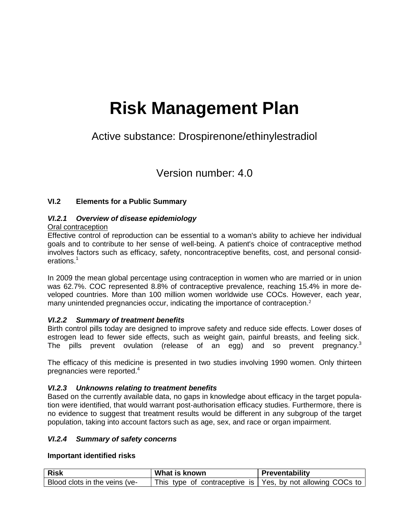# **Risk Management Plan**

# Active substance: Drospirenone/ethinylestradiol

# Version number: 4.0

#### **VI.2 Elements for a Public Summary**

# *VI.2.1 Overview of disease epidemiology*

#### Oral contraception

Effective control of reproduction can be essential to a woman's ability to achieve her individual goals and to contribute to her sense of well-being. A patient's choice of contraceptive method involves factors such as efficacy, safety, noncontraceptive benefits, cost, and personal considerations.<sup>1</sup>

In 2009 the mean global percentage using contraception in women who are married or in union was 62.7%. COC represented 8.8% of contraceptive prevalence, reaching 15.4% in more developed countries. More than 100 million women worldwide use COCs. However, each year, many unintended pregnancies occur, indicating the importance of contraception.<sup>2</sup>

#### *VI.2.2 Summary of treatment benefits*

Birth control pills today are designed to improve safety and reduce side effects. Lower doses of estrogen lead to fewer side effects, such as weight gain, painful breasts, and feeling sick. The pills prevent ovulation (release of an egg) and so prevent pregnancy. $3$ 

The efficacy of this medicine is presented in two studies involving 1990 women. Only thirteen pregnancies were reported. 4

#### *VI.2.3 Unknowns relating to treatment benefits*

Based on the currently available data, no gaps in knowledge about efficacy in the target population were identified, that would warrant post-authorisation efficacy studies. Furthermore, there is no evidence to suggest that treatment results would be different in any subgroup of the target population, taking into account factors such as age, sex, and race or organ impairment.

#### *VI.2.4 Summary of safety concerns*

#### **Important identified risks**

| <b>Risk</b>                   | What is known | <b>Preventability</b>                                        |  |
|-------------------------------|---------------|--------------------------------------------------------------|--|
| Blood clots in the veins (ve- |               | This type of contraceptive is   Yes, by not allowing COCs to |  |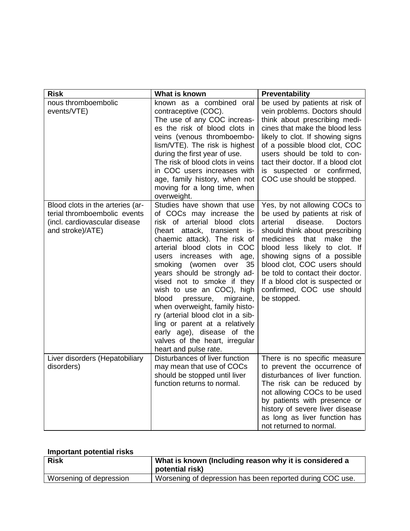| <b>Risk</b>                                                                                                           | What is known                                                                                                                                                                                                                                                                                                                                                                                                                                                                                                                                                                          | <b>Preventability</b>                                                                                                                                                                                                                                                                                                                                                                       |
|-----------------------------------------------------------------------------------------------------------------------|----------------------------------------------------------------------------------------------------------------------------------------------------------------------------------------------------------------------------------------------------------------------------------------------------------------------------------------------------------------------------------------------------------------------------------------------------------------------------------------------------------------------------------------------------------------------------------------|---------------------------------------------------------------------------------------------------------------------------------------------------------------------------------------------------------------------------------------------------------------------------------------------------------------------------------------------------------------------------------------------|
| nous thromboembolic<br>events/VTE)                                                                                    | known as a combined oral<br>contraceptive (COC).<br>The use of any COC increas-<br>es the risk of blood clots in<br>veins (venous thromboembo-<br>lism/VTE). The risk is highest<br>during the first year of use.<br>The risk of blood clots in veins<br>in COC users increases with<br>age, family history, when not<br>moving for a long time, when<br>overweight.                                                                                                                                                                                                                   | be used by patients at risk of<br>vein problems. Doctors should<br>think about prescribing medi-<br>cines that make the blood less<br>likely to clot. If showing signs<br>of a possible blood clot, COC<br>users should be told to con-<br>tact their doctor. If a blood clot<br>is suspected or confirmed,<br>COC use should be stopped.                                                   |
| Blood clots in the arteries (ar-<br>terial thromboembolic events<br>(incl. cardiovascular disease<br>and stroke)/ATE) | Studies have shown that use<br>of COCs may increase the<br>risk of arterial blood clots<br>(heart attack, transient is-<br>chaemic attack). The risk of<br>arterial blood clots in COC<br>increases with<br>users<br>age,<br>35<br>smoking (women over<br>years should be strongly ad-<br>vised not to smoke if they<br>wish to use an COC), high<br>blood<br>pressure,<br>migraine,<br>when overweight, family histo-<br>ry (arterial blood clot in a sib-<br>ling or parent at a relatively<br>early age), disease of the<br>valves of the heart, irregular<br>heart and pulse rate. | Yes, by not allowing COCs to<br>be used by patients at risk of<br>disease.<br>arterial<br><b>Doctors</b><br>should think about prescribing<br>medicines<br>that make the<br>blood less likely to clot. If<br>showing signs of a possible<br>blood clot, COC users should<br>be told to contact their doctor.<br>If a blood clot is suspected or<br>confirmed, COC use should<br>be stopped. |
| Liver disorders (Hepatobiliary<br>disorders)                                                                          | Disturbances of liver function<br>may mean that use of COCs<br>should be stopped until liver<br>function returns to normal.                                                                                                                                                                                                                                                                                                                                                                                                                                                            | There is no specific measure<br>to prevent the occurrence of<br>disturbances of liver function.<br>The risk can be reduced by<br>not allowing COCs to be used<br>by patients with presence or<br>history of severe liver disease<br>as long as liver function has<br>not returned to normal.                                                                                                |

## **Important potential risks**

| <b>Risk</b>             | What is known (Including reason why it is considered a<br>potential risk) |  |
|-------------------------|---------------------------------------------------------------------------|--|
| Worsening of depression | Worsening of depression has been reported during COC use.                 |  |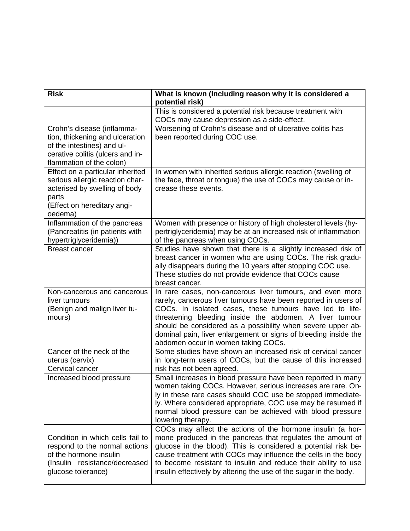| <b>Risk</b>                                                                                                                                                 | What is known (Including reason why it is considered a<br>potential risk)                                                                                                                                                                                                                                                                                                                                                   |
|-------------------------------------------------------------------------------------------------------------------------------------------------------------|-----------------------------------------------------------------------------------------------------------------------------------------------------------------------------------------------------------------------------------------------------------------------------------------------------------------------------------------------------------------------------------------------------------------------------|
|                                                                                                                                                             | This is considered a potential risk because treatment with<br>COCs may cause depression as a side-effect.                                                                                                                                                                                                                                                                                                                   |
| Crohn's disease (inflamma-<br>tion, thickening and ulceration<br>of the intestines) and ul-<br>cerative colitis (ulcers and in-<br>flammation of the colon) | Worsening of Crohn's disease and of ulcerative colitis has<br>been reported during COC use.                                                                                                                                                                                                                                                                                                                                 |
| Effect on a particular inherited<br>serious allergic reaction char-<br>acterised by swelling of body<br>parts<br>(Effect on hereditary angi-<br>oedema)     | In women with inherited serious allergic reaction (swelling of<br>the face, throat or tongue) the use of COCs may cause or in-<br>crease these events.                                                                                                                                                                                                                                                                      |
| Inflammation of the pancreas<br>(Pancreatitis (in patients with<br>hypertriglyceridemia))                                                                   | Women with presence or history of high cholesterol levels (hy-<br>pertriglyceridemia) may be at an increased risk of inflammation<br>of the pancreas when using COCs.                                                                                                                                                                                                                                                       |
| <b>Breast cancer</b>                                                                                                                                        | Studies have shown that there is a slightly increased risk of<br>breast cancer in women who are using COCs. The risk gradu-<br>ally disappears during the 10 years after stopping COC use.<br>These studies do not provide evidence that COCs cause<br>breast cancer.                                                                                                                                                       |
| Non-cancerous and cancerous<br>liver tumours<br>(Benign and malign liver tu-<br>mours)                                                                      | In rare cases, non-cancerous liver tumours, and even more<br>rarely, cancerous liver tumours have been reported in users of<br>COCs. In isolated cases, these tumours have led to life-<br>threatening bleeding inside the abdomen. A liver tumour<br>should be considered as a possibility when severe upper ab-<br>dominal pain, liver enlargement or signs of bleeding inside the<br>abdomen occur in women taking COCs. |
| Cancer of the neck of the<br>uterus (cervix)<br>Cervical cancer                                                                                             | Some studies have shown an increased risk of cervical cancer<br>in long-term users of COCs, but the cause of this increased<br>risk has not been agreed.                                                                                                                                                                                                                                                                    |
| Increased blood pressure                                                                                                                                    | Small increases in blood pressure have been reported in many<br>women taking COCs. However, serious increases are rare. On-<br>ly in these rare cases should COC use be stopped immediate-<br>ly. Where considered appropriate, COC use may be resumed if<br>normal blood pressure can be achieved with blood pressure<br>lowering therapy.                                                                                 |
| Condition in which cells fail to<br>respond to the normal actions<br>of the hormone insulin<br>(Insulin resistance/decreased<br>glucose tolerance)          | COCs may affect the actions of the hormone insulin (a hor-<br>mone produced in the pancreas that regulates the amount of<br>glucose in the blood). This is considered a potential risk be-<br>cause treatment with COCs may influence the cells in the body<br>to become resistant to insulin and reduce their ability to use<br>insulin effectively by altering the use of the sugar in the body.                          |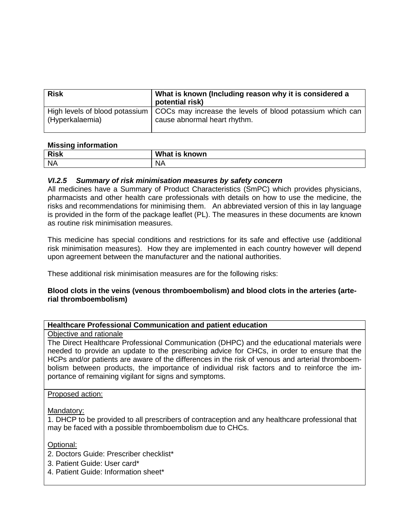| <b>Risk</b>     | What is known (Including reason why it is considered a<br>potential risk)                                                  |
|-----------------|----------------------------------------------------------------------------------------------------------------------------|
| (Hyperkalaemia) | High levels of blood potassium   COCs may increase the levels of blood potassium which can<br>cause abnormal heart rhythm. |

#### **Missing information**

| Diele<br>NIJN | What<br>known<br>. .<br>ιαι<br>- 5 |
|---------------|------------------------------------|
| <b>NA</b>     | ΝA                                 |

#### *VI.2.5 Summary of risk minimisation measures by safety concern*

All medicines have a Summary of Product Characteristics (SmPC) which provides physicians, pharmacists and other health care professionals with details on how to use the medicine, the risks and recommendations for minimising them. An abbreviated version of this in lay language is provided in the form of the package leaflet (PL). The measures in these documents are known as routine risk minimisation measures.

This medicine has special conditions and restrictions for its safe and effective use (additional risk minimisation measures). How they are implemented in each country however will depend upon agreement between the manufacturer and the national authorities.

These additional risk minimisation measures are for the following risks:

#### **Blood clots in the veins (venous thromboembolism) and blood clots in the arteries (arterial thromboembolism)**

#### **Healthcare Professional Communication and patient education**

#### Objective and rationale

The Direct Healthcare Professional Communication (DHPC) and the educational materials were needed to provide an update to the prescribing advice for CHCs, in order to ensure that the HCPs and/or patients are aware of the differences in the risk of venous and arterial thromboembolism between products, the importance of individual risk factors and to reinforce the importance of remaining vigilant for signs and symptoms.

#### Proposed action:

#### Mandatory:

1. DHCP to be provided to all prescribers of contraception and any healthcare professional that may be faced with a possible thromboembolism due to CHCs.

#### Optional:

- 2. Doctors Guide: Prescriber checklist\*
- 3. Patient Guide: User card\*
- 4. Patient Guide: Information sheet\*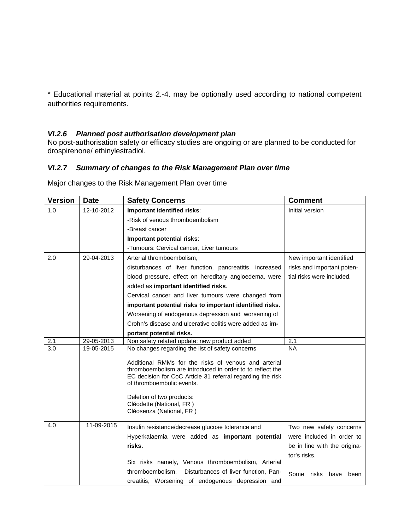\* Educational material at points 2.-4. may be optionally used according to national competent authorities requirements.

### *VI.2.6 Planned post authorisation development plan*

No post-authorisation safety or efficacy studies are ongoing or are planned to be conducted for drospirenone/ ethinylestradiol.

## *VI.2.7 Summary of changes to the Risk Management Plan over time*

| <b>Version</b> | <b>Date</b> | <b>Safety Concerns</b>                                                                                                  | <b>Comment</b>               |
|----------------|-------------|-------------------------------------------------------------------------------------------------------------------------|------------------------------|
| 1.0            | 12-10-2012  | Important identified risks:                                                                                             | Initial version              |
|                |             | -Risk of venous thromboembolism                                                                                         |                              |
|                |             | -Breast cancer                                                                                                          |                              |
|                |             | Important potential risks:                                                                                              |                              |
|                |             | -Tumours: Cervical cancer, Liver tumours                                                                                |                              |
| 2.0            | 29-04-2013  | Arterial thromboembolism,                                                                                               | New important identified     |
|                |             | disturbances of liver function, pancreatitis, increased                                                                 | risks and important poten-   |
|                |             | blood pressure, effect on hereditary angioedema, were                                                                   | tial risks were included.    |
|                |             | added as important identified risks.                                                                                    |                              |
|                |             | Cervical cancer and liver tumours were changed from                                                                     |                              |
|                |             | important potential risks to important identified risks.                                                                |                              |
|                |             | Worsening of endogenous depression and worsening of                                                                     |                              |
|                |             | Crohn's disease and ulcerative colitis were added as im-                                                                |                              |
|                |             | portant potential risks.                                                                                                |                              |
| 2.1            | 29-05-2013  | Non safety related update: new product added                                                                            | 2.1                          |
| 3.0            | 19-05-2015  | No changes regarding the list of safety concerns                                                                        | <b>NA</b>                    |
|                |             | Additional RMMs for the risks of venous and arterial                                                                    |                              |
|                |             | thromboembolism are introduced in order to to reflect the<br>EC decision for CoC Article 31 referral regarding the risk |                              |
|                |             | of thromboembolic events.                                                                                               |                              |
|                |             | Deletion of two products:                                                                                               |                              |
|                |             | Cléodette (National, FR)                                                                                                |                              |
|                |             | Cléosenza (National, FR)                                                                                                |                              |
| 4.0            | 11-09-2015  | Insulin resistance/decrease glucose tolerance and                                                                       | Two new safety concerns      |
|                |             | Hyperkalaemia were added as important potential                                                                         | were included in order to    |
|                |             | risks.                                                                                                                  | be in line with the origina- |
|                |             |                                                                                                                         | tor's risks.                 |
|                |             | Six risks namely, Venous thromboembolism, Arterial                                                                      |                              |
|                |             | thromboembolism,<br>Disturbances of liver function, Pan-                                                                | Some<br>risks have<br>been   |
|                |             | creatitis, Worsening of endogenous depression and                                                                       |                              |

Major changes to the Risk Management Plan over time